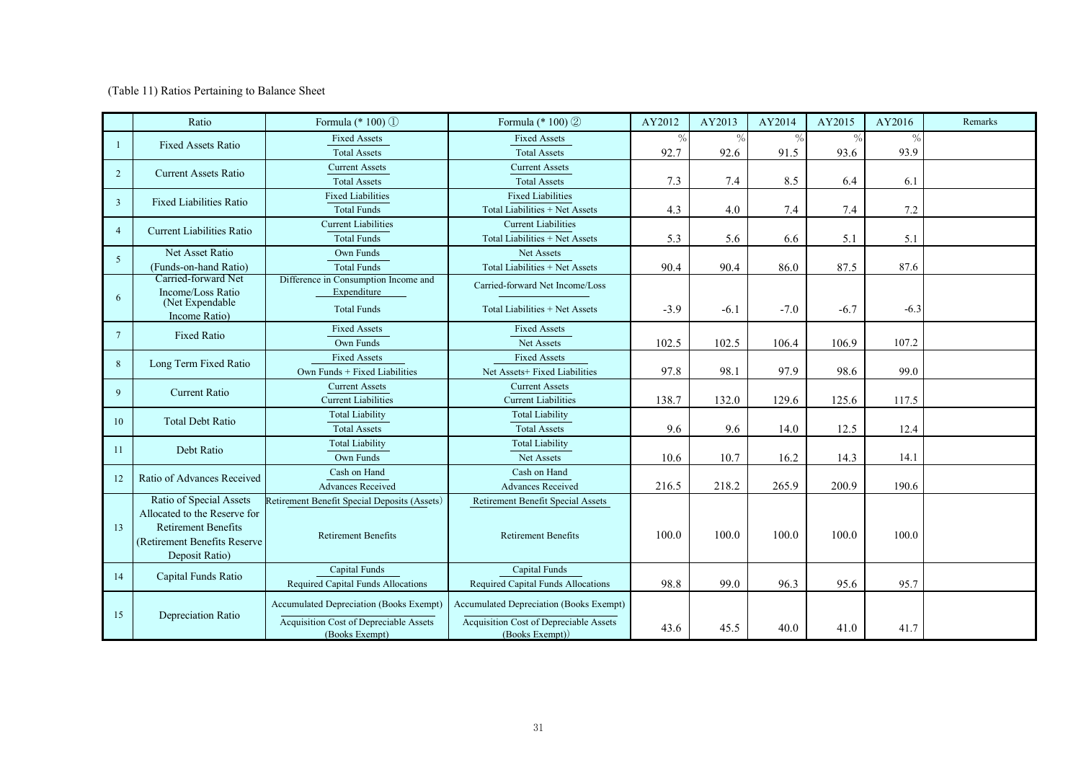(Table 11) Ratios Pertaining to Balance Sheet

|                 | Ratio                                 | Formula (* 100) ①                             | Formula (* 100) 2                             | AY2012        | AY2013        | AY2014        | AY2015        | AY2016        | Remarks |
|-----------------|---------------------------------------|-----------------------------------------------|-----------------------------------------------|---------------|---------------|---------------|---------------|---------------|---------|
|                 | <b>Fixed Assets Ratio</b>             | <b>Fixed Assets</b>                           | <b>Fixed Assets</b>                           | $\frac{0}{0}$ | $\frac{0}{0}$ | $\frac{0}{c}$ | $\frac{0}{0}$ | $\frac{0}{0}$ |         |
|                 |                                       | <b>Total Assets</b>                           | <b>Total Assets</b>                           | 92.7          | 92.6          | 91.5          | 93.6          | 93.9          |         |
| 2               | <b>Current Assets Ratio</b>           | <b>Current Assets</b>                         | <b>Current Assets</b>                         |               |               |               |               |               |         |
|                 |                                       | <b>Total Assets</b>                           | <b>Total Assets</b>                           | 7.3           | 7.4           | 8.5           | 6.4           | 6.1           |         |
| 3               | <b>Fixed Liabilities Ratio</b>        | <b>Fixed Liabilities</b>                      | <b>Fixed Liabilities</b>                      |               |               |               |               |               |         |
|                 |                                       | <b>Total Funds</b>                            | Total Liabilities + Net Assets                | 4.3           | 4.0           | 7.4           | 7.4           | 7.2           |         |
| $\overline{4}$  | <b>Current Liabilities Ratio</b>      | <b>Current Liabilities</b>                    | <b>Current Liabilities</b>                    |               |               |               |               |               |         |
|                 |                                       | <b>Total Funds</b>                            | Total Liabilities + Net Assets                | 5.3           | 5.6           | 6.6           | 5.1           | 5.1           |         |
| $\overline{5}$  | Net Asset Ratio                       | Own Funds                                     | Net Assets                                    |               |               |               |               |               |         |
|                 | (Funds-on-hand Ratio)                 | <b>Total Funds</b>                            | Total Liabilities + Net Assets                | 90.4          | 90.4          | 86.0          | 87.5          | 87.6          |         |
|                 | Carried-forward Net                   | Difference in Consumption Income and          | Carried-forward Net Income/Loss               |               |               |               |               |               |         |
| 6               | Income/Loss Ratio<br>(Net Expendable) | Expenditure                                   |                                               |               |               |               |               |               |         |
|                 | Income Ratio)                         | <b>Total Funds</b>                            | Total Liabilities + Net Assets                | $-3.9$        | $-6.1$        | $-7.0$        | $-6.7$        | $-6.3$        |         |
| $7\phantom{.0}$ | <b>Fixed Ratio</b>                    | <b>Fixed Assets</b>                           | <b>Fixed Assets</b>                           |               |               |               |               |               |         |
|                 |                                       | Own Funds                                     | Net Assets                                    | 102.5         | 102.5         | 106.4         | 106.9         | 107.2         |         |
| 8               | Long Term Fixed Ratio                 | <b>Fixed Assets</b>                           | <b>Fixed Assets</b>                           |               |               |               |               |               |         |
|                 |                                       | Own Funds + Fixed Liabilities                 | Net Assets+ Fixed Liabilities                 | 97.8          | 98.1          | 97.9          | 98.6          | 99.0          |         |
| $\mathbf{Q}$    | <b>Current Ratio</b>                  | <b>Current Assets</b>                         | <b>Current Assets</b>                         |               |               |               |               |               |         |
|                 |                                       | <b>Current Liabilities</b>                    | <b>Current Liabilities</b>                    | 138.7         | 132.0         | 129.6         | 125.6         | 117.5         |         |
| 10              | <b>Total Debt Ratio</b>               | <b>Total Liability</b>                        | <b>Total Liability</b>                        |               |               |               |               |               |         |
|                 |                                       | <b>Total Assets</b>                           | <b>Total Assets</b>                           | 9.6           | 9.6           | 14.0          | 12.5          | 12.4          |         |
| 11              | Debt Ratio                            | <b>Total Liability</b>                        | <b>Total Liability</b>                        |               |               |               |               |               |         |
|                 |                                       | Own Funds                                     | Net Assets                                    | 10.6          | 10.7          | 16.2          | 14.3          | 14.1          |         |
| 12              | Ratio of Advances Received            | Cash on Hand                                  | Cash on Hand                                  |               |               |               |               |               |         |
|                 |                                       | <b>Advances Received</b>                      | Advances Received                             | 216.5         | 218.2         | 265.9         | 200.9         | 190.6         |         |
|                 | Ratio of Special Assets               | Retirement Benefit Special Deposits (Assets)  | Retirement Benefit Special Assets             |               |               |               |               |               |         |
|                 | Allocated to the Reserve for          |                                               |                                               |               |               |               |               |               |         |
| 13              | <b>Retirement Benefits</b>            | <b>Retirement Benefits</b>                    | <b>Retirement Benefits</b>                    | 100.0         | 100.0         | 100.0         | 100.0         | 100.0         |         |
|                 | (Retirement Benefits Reserve)         |                                               |                                               |               |               |               |               |               |         |
|                 | Deposit Ratio)                        |                                               |                                               |               |               |               |               |               |         |
| 14              | Capital Funds Ratio                   | Capital Funds                                 | Capital Funds                                 |               |               |               |               |               |         |
|                 |                                       | Required Capital Funds Allocations            | <b>Required Capital Funds Allocations</b>     | 98.8          | 99.0          | 96.3          | 95.6          | 95.7          |         |
| 15              | Depreciation Ratio                    | Accumulated Depreciation (Books Exempt)       | Accumulated Depreciation (Books Exempt)       |               |               |               |               |               |         |
|                 |                                       | <b>Acquisition Cost of Depreciable Assets</b> | <b>Acquisition Cost of Depreciable Assets</b> |               |               |               |               |               |         |
|                 |                                       | (Books Exempt)                                | (Books Exempt))                               | 43.6          | 45.5          | 40.0          | 41.0          | 41.7          |         |